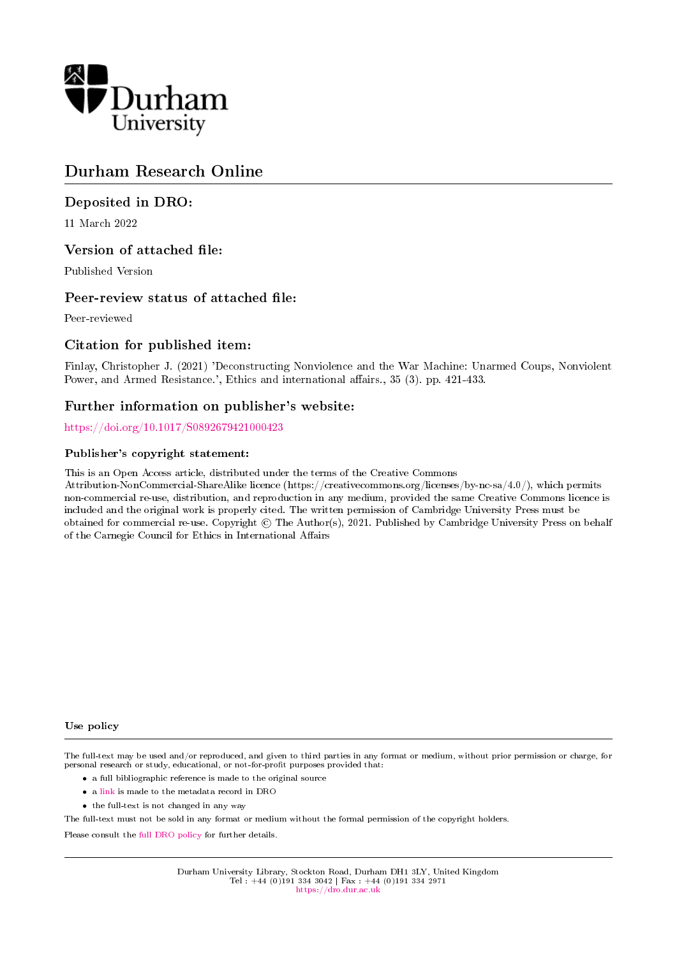

## Durham Research Online

## Deposited in DRO:

11 March 2022

## Version of attached file:

Published Version

## Peer-review status of attached file:

Peer-reviewed

## Citation for published item:

Finlay, Christopher J. (2021) 'Deconstructing Nonviolence and the War Machine: Unarmed Coups, Nonviolent Power, and Armed Resistance.', Ethics and international affairs., 35 (3). pp. 421-433.

## Further information on publisher's website:

<https://doi.org/10.1017/S0892679421000423>

### Publisher's copyright statement:

This is an Open Access article, distributed under the terms of the Creative Commons

Attribution-NonCommercial-ShareAlike licence (https://creativecommons.org/licenses/by-nc-sa/4.0/), which permits non-commercial re-use, distribution, and reproduction in any medium, provided the same Creative Commons licence is included and the original work is properly cited. The written permission of Cambridge University Press must be obtained for commercial re-use. Copyright  $\odot$  The Author(s), 2021. Published by Cambridge University Press on behalf of the Carnegie Council for Ethics in International Affairs

#### Use policy

The full-text may be used and/or reproduced, and given to third parties in any format or medium, without prior permission or charge, for personal research or study, educational, or not-for-profit purposes provided that:

- a full bibliographic reference is made to the original source
- a [link](http://dro.dur.ac.uk/33511/) is made to the metadata record in DRO
- the full-text is not changed in any way

The full-text must not be sold in any format or medium without the formal permission of the copyright holders.

Please consult the [full DRO policy](https://dro.dur.ac.uk/policies/usepolicy.pdf) for further details.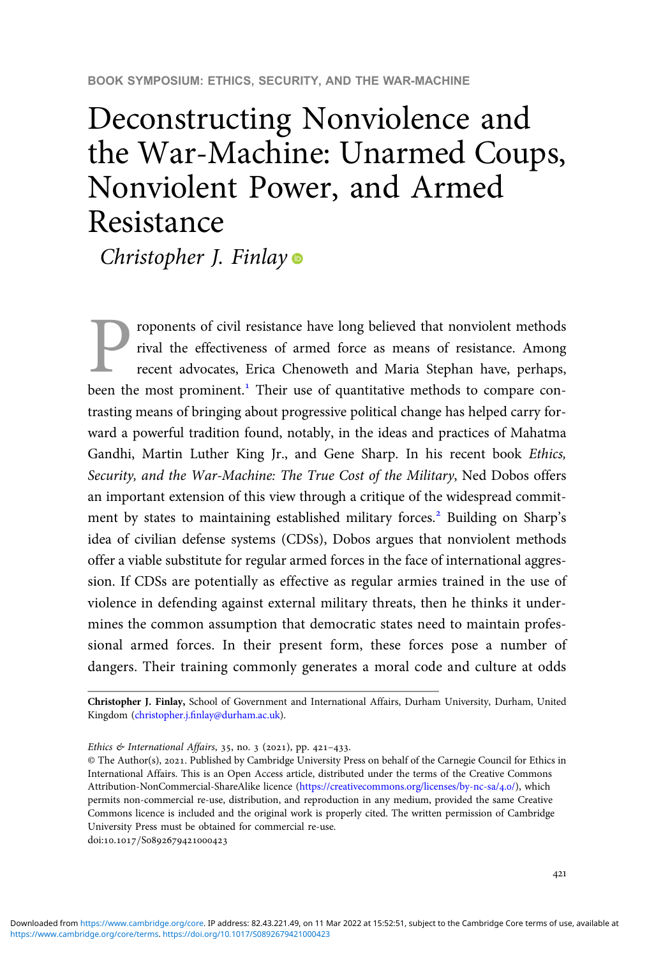# Deconstructing Nonviolence and the War-Machine: Unarmed Coups, Nonviolent Power, and Armed Resistance

Christopher J. Finlay<sup>®</sup>

roponents of civil resistance have long believed that nonviolent methods rival the effectiveness of armed force as means of resistance. Among recent advocates, Erica Chenoweth and Maria Stephan have, perhaps, been the most prominent.<sup>1</sup> Their use of quantitative methods to compare contrasting means of bringing about progressive political change has helped carry forward a powerful tradition found, notably, in the ideas and practices of Mahatma Gandhi, Martin Luther King Jr., and Gene Sharp. In his recent book Ethics, Security, and the War-Machine: The True Cost of the Military, Ned Dobos offers an important extension of this view through a critique of the widespread commitment by states to maintaining established military forces.<sup>2</sup> Building on Sharp's idea of civilian defense systems (CDSs), Dobos argues that nonviolent methods offer a viable substitute for regular armed forces in the face of international aggression. If CDSs are potentially as effective as regular armies trained in the use of violence in defending against external military threats, then he thinks it undermines the common assumption that democratic states need to maintain professional armed forces. In their present form, these forces pose a number of dangers. Their training commonly generates a moral code and culture at odds

Christopher J. Finlay, School of Government and International Affairs, Durham University, Durham, United Kingdom (christopher.j.fi[nlay@durham.ac.uk\)](mailto:christopher.j.finlay@durham.ac.uk).

Ethics & International Affairs, 35, no. 3 (2021), pp. 421-433.

© The Author(s), 2021. Published by Cambridge University Press on behalf of the Carnegie Council for Ethics in International Affairs. This is an Open Access article, distributed under the terms of the Creative Commons Attribution-NonCommercial-ShareAlike licence [\(https://creativecommons.org/licenses/by-nc-sa/](https://creativecommons.org/licenses/by-nc-sa/4.0/)4.0/), which permits non-commercial re-use, distribution, and reproduction in any medium, provided the same Creative Commons licence is included and the original work is properly cited. The written permission of Cambridge University Press must be obtained for commercial re-use.

doi:10.1017/S0892679421000423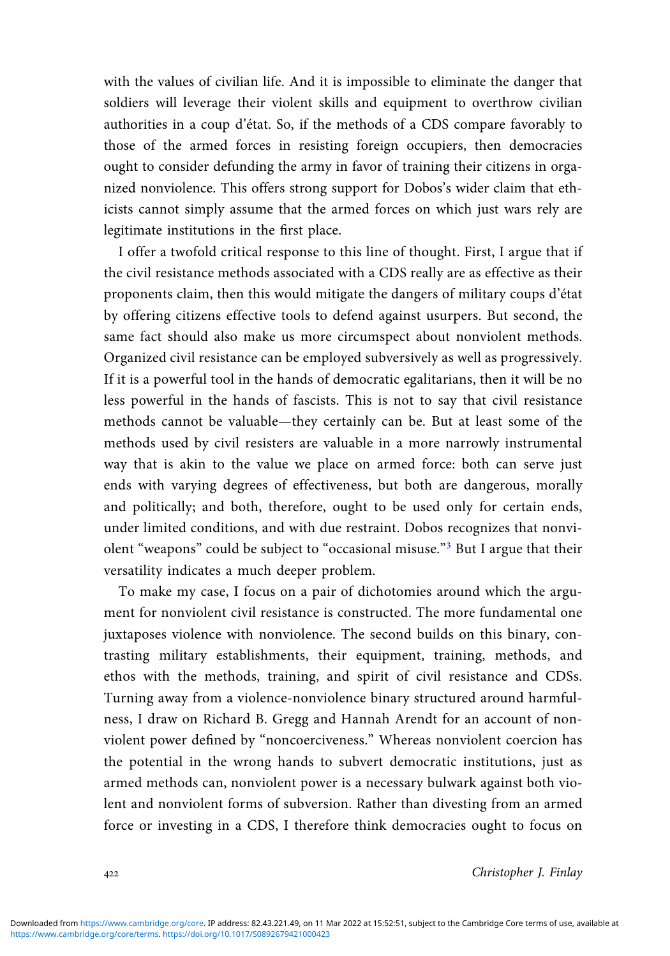with the values of civilian life. And it is impossible to eliminate the danger that soldiers will leverage their violent skills and equipment to overthrow civilian authorities in a coup d'état. So, if the methods of a CDS compare favorably to those of the armed forces in resisting foreign occupiers, then democracies ought to consider defunding the army in favor of training their citizens in organized nonviolence. This offers strong support for Dobos's wider claim that ethicists cannot simply assume that the armed forces on which just wars rely are legitimate institutions in the first place.

I offer a twofold critical response to this line of thought. First, I argue that if the civil resistance methods associated with a CDS really are as effective as their proponents claim, then this would mitigate the dangers of military coups d'état by offering citizens effective tools to defend against usurpers. But second, the same fact should also make us more circumspect about nonviolent methods. Organized civil resistance can be employed subversively as well as progressively. If it is a powerful tool in the hands of democratic egalitarians, then it will be no less powerful in the hands of fascists. This is not to say that civil resistance methods cannot be valuable—they certainly can be. But at least some of the methods used by civil resisters are valuable in a more narrowly instrumental way that is akin to the value we place on armed force: both can serve just ends with varying degrees of effectiveness, but both are dangerous, morally and politically; and both, therefore, ought to be used only for certain ends, under limited conditions, and with due restraint. Dobos recognizes that nonviolent "weapons" could be subject to "occasional misuse."<sup>3</sup> But I argue that their versatility indicates a much deeper problem.

To make my case, I focus on a pair of dichotomies around which the argument for nonviolent civil resistance is constructed. The more fundamental one juxtaposes violence with nonviolence. The second builds on this binary, contrasting military establishments, their equipment, training, methods, and ethos with the methods, training, and spirit of civil resistance and CDSs. Turning away from a violence-nonviolence binary structured around harmfulness, I draw on Richard B. Gregg and Hannah Arendt for an account of nonviolent power defined by "noncoerciveness." Whereas nonviolent coercion has the potential in the wrong hands to subvert democratic institutions, just as armed methods can, nonviolent power is a necessary bulwark against both violent and nonviolent forms of subversion. Rather than divesting from an armed force or investing in a CDS, I therefore think democracies ought to focus on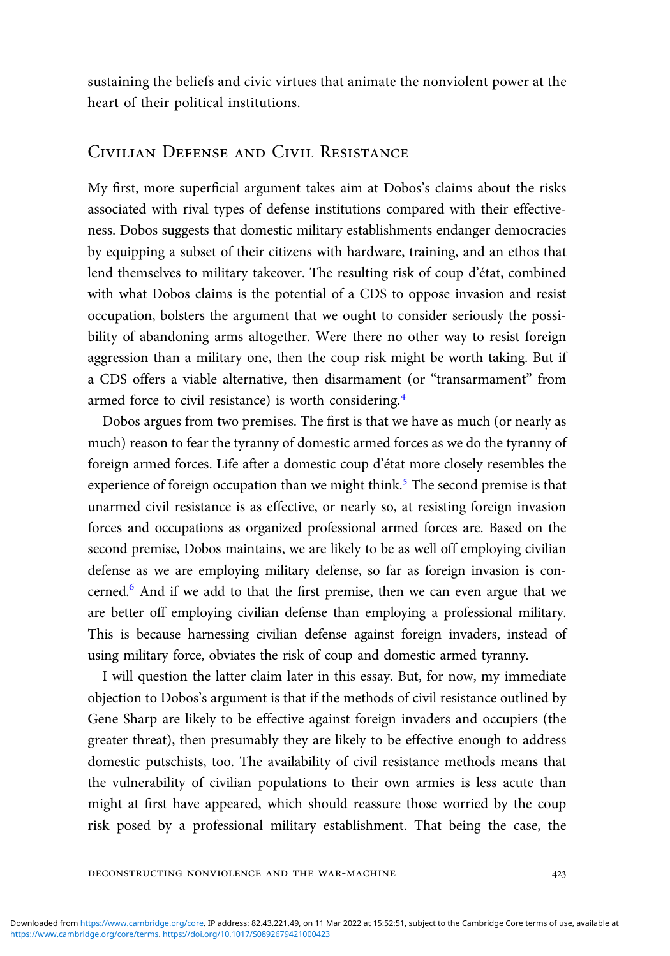sustaining the beliefs and civic virtues that animate the nonviolent power at the heart of their political institutions.

## Civilian Defense and Civil Resistance

My first, more superficial argument takes aim at Dobos's claims about the risks associated with rival types of defense institutions compared with their effectiveness. Dobos suggests that domestic military establishments endanger democracies by equipping a subset of their citizens with hardware, training, and an ethos that lend themselves to military takeover. The resulting risk of coup d'état, combined with what Dobos claims is the potential of a CDS to oppose invasion and resist occupation, bolsters the argument that we ought to consider seriously the possibility of abandoning arms altogether. Were there no other way to resist foreign aggression than a military one, then the coup risk might be worth taking. But if a CDS offers a viable alternative, then disarmament (or "transarmament" from armed force to civil resistance) is worth considering.

Dobos argues from two premises. The first is that we have as much (or nearly as much) reason to fear the tyranny of domestic armed forces as we do the tyranny of foreign armed forces. Life after a domestic coup d'état more closely resembles the experience of foreign occupation than we might think.<sup>5</sup> The second premise is that unarmed civil resistance is as effective, or nearly so, at resisting foreign invasion forces and occupations as organized professional armed forces are. Based on the second premise, Dobos maintains, we are likely to be as well off employing civilian defense as we are employing military defense, so far as foreign invasion is concerned.<sup>6</sup> And if we add to that the first premise, then we can even argue that we are better off employing civilian defense than employing a professional military. This is because harnessing civilian defense against foreign invaders, instead of using military force, obviates the risk of coup and domestic armed tyranny.

I will question the latter claim later in this essay. But, for now, my immediate objection to Dobos's argument is that if the methods of civil resistance outlined by Gene Sharp are likely to be effective against foreign invaders and occupiers (the greater threat), then presumably they are likely to be effective enough to address domestic putschists, too. The availability of civil resistance methods means that the vulnerability of civilian populations to their own armies is less acute than might at first have appeared, which should reassure those worried by the coup risk posed by a professional military establishment. That being the case, the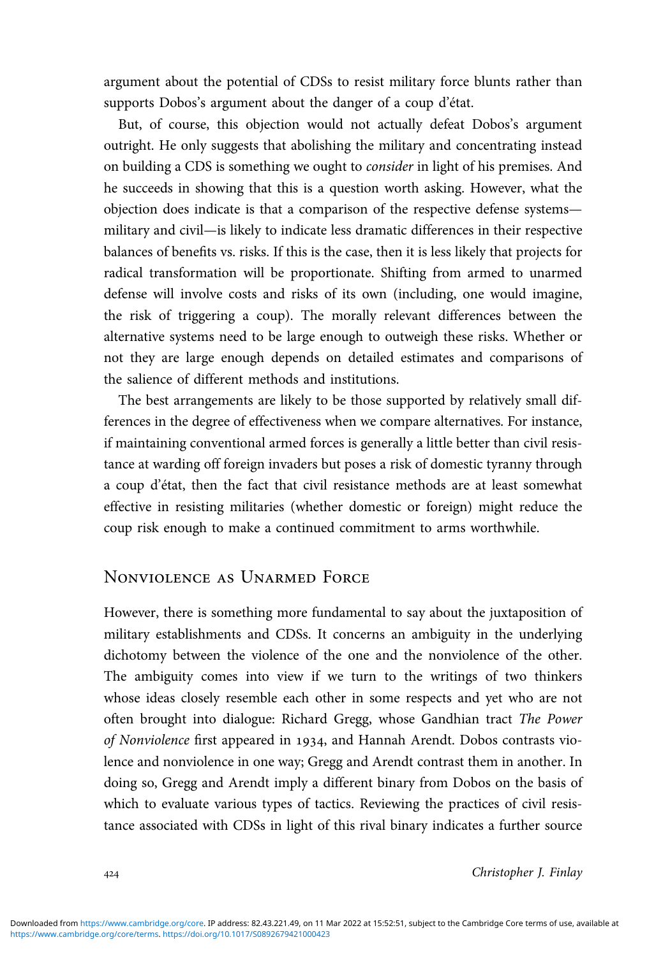argument about the potential of CDSs to resist military force blunts rather than supports Dobos's argument about the danger of a coup d'état.

But, of course, this objection would not actually defeat Dobos's argument outright. He only suggests that abolishing the military and concentrating instead on building a CDS is something we ought to consider in light of his premises. And he succeeds in showing that this is a question worth asking. However, what the objection does indicate is that a comparison of the respective defense systems military and civil—is likely to indicate less dramatic differences in their respective balances of benefits vs. risks. If this is the case, then it is less likely that projects for radical transformation will be proportionate. Shifting from armed to unarmed defense will involve costs and risks of its own (including, one would imagine, the risk of triggering a coup). The morally relevant differences between the alternative systems need to be large enough to outweigh these risks. Whether or not they are large enough depends on detailed estimates and comparisons of the salience of different methods and institutions.

The best arrangements are likely to be those supported by relatively small differences in the degree of effectiveness when we compare alternatives. For instance, if maintaining conventional armed forces is generally a little better than civil resistance at warding off foreign invaders but poses a risk of domestic tyranny through a coup d'état, then the fact that civil resistance methods are at least somewhat effective in resisting militaries (whether domestic or foreign) might reduce the coup risk enough to make a continued commitment to arms worthwhile.

## Nonviolence as Unarmed Force

However, there is something more fundamental to say about the juxtaposition of military establishments and CDSs. It concerns an ambiguity in the underlying dichotomy between the violence of the one and the nonviolence of the other. The ambiguity comes into view if we turn to the writings of two thinkers whose ideas closely resemble each other in some respects and yet who are not often brought into dialogue: Richard Gregg, whose Gandhian tract The Power of Nonviolence first appeared in 1934, and Hannah Arendt. Dobos contrasts violence and nonviolence in one way; Gregg and Arendt contrast them in another. In doing so, Gregg and Arendt imply a different binary from Dobos on the basis of which to evaluate various types of tactics. Reviewing the practices of civil resistance associated with CDSs in light of this rival binary indicates a further source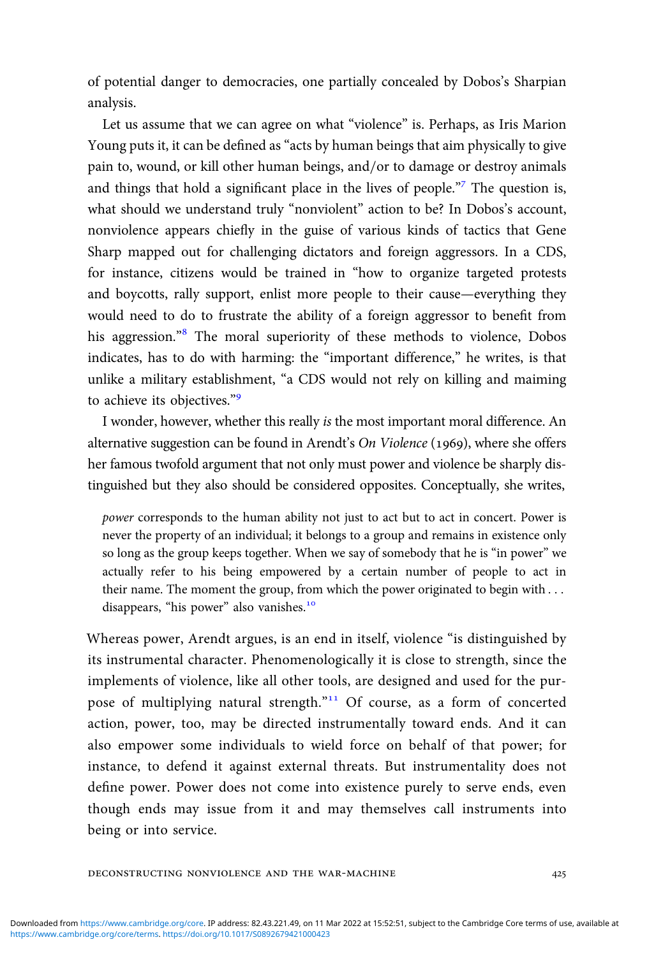of potential danger to democracies, one partially concealed by Dobos's Sharpian analysis.

Let us assume that we can agree on what "violence" is. Perhaps, as Iris Marion Young puts it, it can be defined as "acts by human beings that aim physically to give pain to, wound, or kill other human beings, and/or to damage or destroy animals and things that hold a significant place in the lives of people."<sup>7</sup> The question is, what should we understand truly "nonviolent" action to be? In Dobos's account, nonviolence appears chiefly in the guise of various kinds of tactics that Gene Sharp mapped out for challenging dictators and foreign aggressors. In a CDS, for instance, citizens would be trained in "how to organize targeted protests and boycotts, rally support, enlist more people to their cause—everything they would need to do to frustrate the ability of a foreign aggressor to benefit from his aggression."<sup>8</sup> The moral superiority of these methods to violence, Dobos indicates, has to do with harming: the "important difference," he writes, is that unlike a military establishment, "a CDS would not rely on killing and maiming to achieve its objectives."<sup>9</sup>

I wonder, however, whether this really is the most important moral difference. An alternative suggestion can be found in Arendt's On Violence (1969), where she offers her famous twofold argument that not only must power and violence be sharply distinguished but they also should be considered opposites. Conceptually, she writes,

power corresponds to the human ability not just to act but to act in concert. Power is never the property of an individual; it belongs to a group and remains in existence only so long as the group keeps together. When we say of somebody that he is "in power" we actually refer to his being empowered by a certain number of people to act in their name. The moment the group, from which the power originated to begin with . . . disappears, "his power" also vanishes.<sup>10</sup>

Whereas power, Arendt argues, is an end in itself, violence "is distinguished by its instrumental character. Phenomenologically it is close to strength, since the implements of violence, like all other tools, are designed and used for the purpose of multiplying natural strength."<sup>11</sup> Of course, as a form of concerted action, power, too, may be directed instrumentally toward ends. And it can also empower some individuals to wield force on behalf of that power; for instance, to defend it against external threats. But instrumentality does not define power. Power does not come into existence purely to serve ends, even though ends may issue from it and may themselves call instruments into being or into service.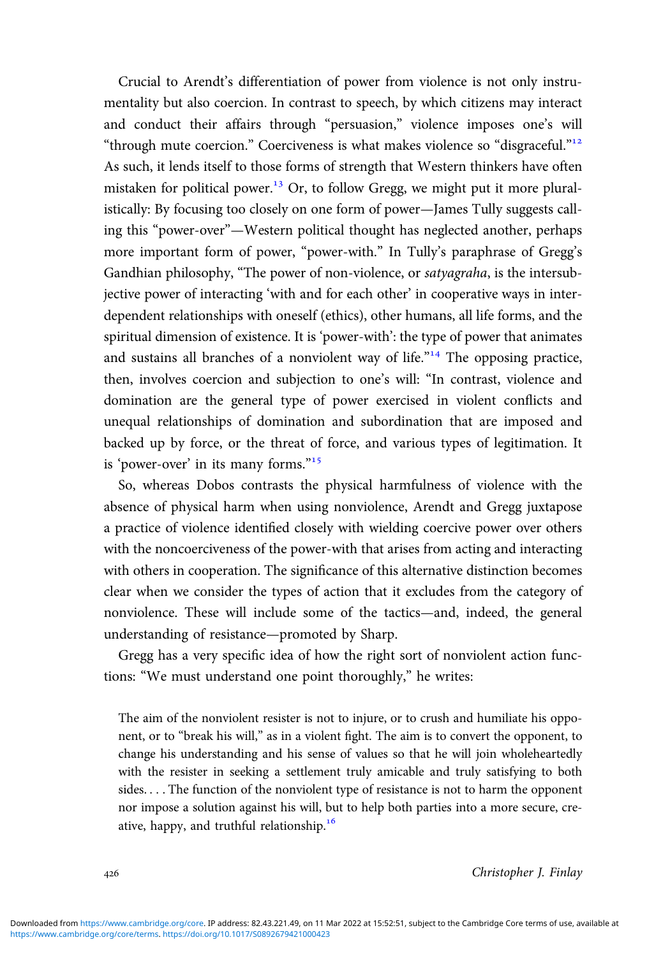Crucial to Arendt's differentiation of power from violence is not only instrumentality but also coercion. In contrast to speech, by which citizens may interact and conduct their affairs through "persuasion," violence imposes one's will "through mute coercion." Coerciveness is what makes violence so "disgraceful."<sup>12</sup> As such, it lends itself to those forms of strength that Western thinkers have often mistaken for political power.<sup>13</sup> Or, to follow Gregg, we might put it more pluralistically: By focusing too closely on one form of power—James Tully suggests calling this "power-over"—Western political thought has neglected another, perhaps more important form of power, "power-with." In Tully's paraphrase of Gregg's Gandhian philosophy, "The power of non-violence, or satyagraha, is the intersubjective power of interacting 'with and for each other' in cooperative ways in interdependent relationships with oneself (ethics), other humans, all life forms, and the spiritual dimension of existence. It is 'power-with': the type of power that animates and sustains all branches of a nonviolent way of life."<sup>14</sup> The opposing practice, then, involves coercion and subjection to one's will: "In contrast, violence and domination are the general type of power exercised in violent conflicts and unequal relationships of domination and subordination that are imposed and backed up by force, or the threat of force, and various types of legitimation. It is 'power-over' in its many forms."<sup>15</sup>

So, whereas Dobos contrasts the physical harmfulness of violence with the absence of physical harm when using nonviolence, Arendt and Gregg juxtapose a practice of violence identified closely with wielding coercive power over others with the noncoerciveness of the power-with that arises from acting and interacting with others in cooperation. The significance of this alternative distinction becomes clear when we consider the types of action that it excludes from the category of nonviolence. These will include some of the tactics—and, indeed, the general understanding of resistance—promoted by Sharp.

Gregg has a very specific idea of how the right sort of nonviolent action functions: "We must understand one point thoroughly," he writes:

The aim of the nonviolent resister is not to injure, or to crush and humiliate his opponent, or to "break his will," as in a violent fight. The aim is to convert the opponent, to change his understanding and his sense of values so that he will join wholeheartedly with the resister in seeking a settlement truly amicable and truly satisfying to both sides. . . . The function of the nonviolent type of resistance is not to harm the opponent nor impose a solution against his will, but to help both parties into a more secure, creative, happy, and truthful relationship.<sup>16</sup>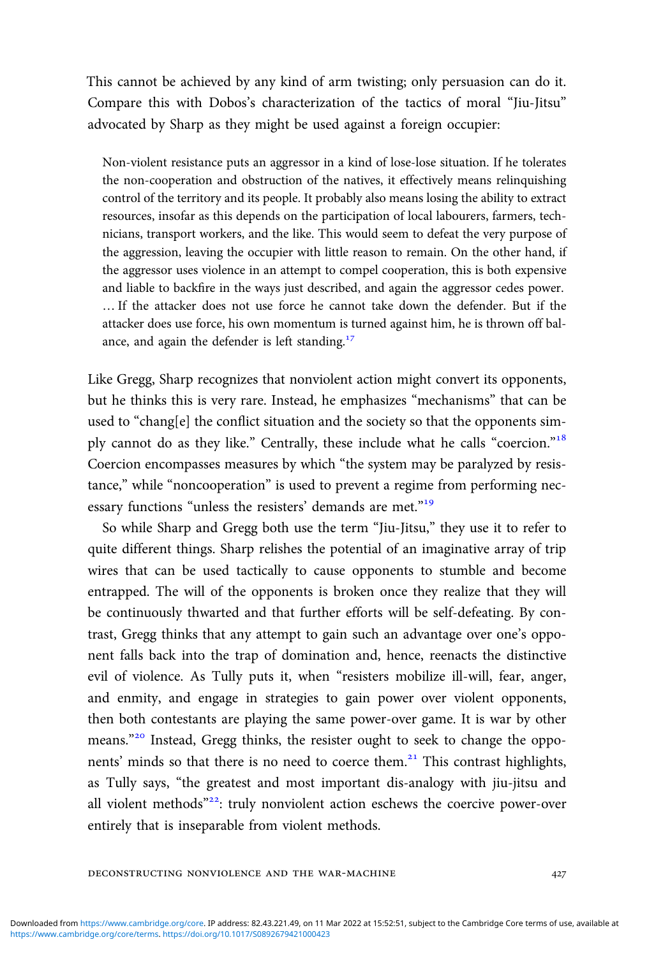This cannot be achieved by any kind of arm twisting; only persuasion can do it. Compare this with Dobos's characterization of the tactics of moral "Jiu-Jitsu" advocated by Sharp as they might be used against a foreign occupier:

Non-violent resistance puts an aggressor in a kind of lose-lose situation. If he tolerates the non-cooperation and obstruction of the natives, it effectively means relinquishing control of the territory and its people. It probably also means losing the ability to extract resources, insofar as this depends on the participation of local labourers, farmers, technicians, transport workers, and the like. This would seem to defeat the very purpose of the aggression, leaving the occupier with little reason to remain. On the other hand, if the aggressor uses violence in an attempt to compel cooperation, this is both expensive and liable to backfire in the ways just described, and again the aggressor cedes power. … If the attacker does not use force he cannot take down the defender. But if the attacker does use force, his own momentum is turned against him, he is thrown off balance, and again the defender is left standing.<sup>17</sup>

Like Gregg, Sharp recognizes that nonviolent action might convert its opponents, but he thinks this is very rare. Instead, he emphasizes "mechanisms" that can be used to "chang[e] the conflict situation and the society so that the opponents simply cannot do as they like." Centrally, these include what he calls "coercion."<sup>18</sup> Coercion encompasses measures by which "the system may be paralyzed by resistance," while "noncooperation" is used to prevent a regime from performing necessary functions "unless the resisters' demands are met."<sup>19</sup>

So while Sharp and Gregg both use the term "Jiu-Jitsu," they use it to refer to quite different things. Sharp relishes the potential of an imaginative array of trip wires that can be used tactically to cause opponents to stumble and become entrapped. The will of the opponents is broken once they realize that they will be continuously thwarted and that further efforts will be self-defeating. By contrast, Gregg thinks that any attempt to gain such an advantage over one's opponent falls back into the trap of domination and, hence, reenacts the distinctive evil of violence. As Tully puts it, when "resisters mobilize ill-will, fear, anger, and enmity, and engage in strategies to gain power over violent opponents, then both contestants are playing the same power-over game. It is war by other means."<sup>20</sup> Instead, Gregg thinks, the resister ought to seek to change the opponents' minds so that there is no need to coerce them.<sup>21</sup> This contrast highlights, as Tully says, "the greatest and most important dis-analogy with jiu-jitsu and all violent methods"<sup>22</sup>: truly nonviolent action eschews the coercive power-over entirely that is inseparable from violent methods.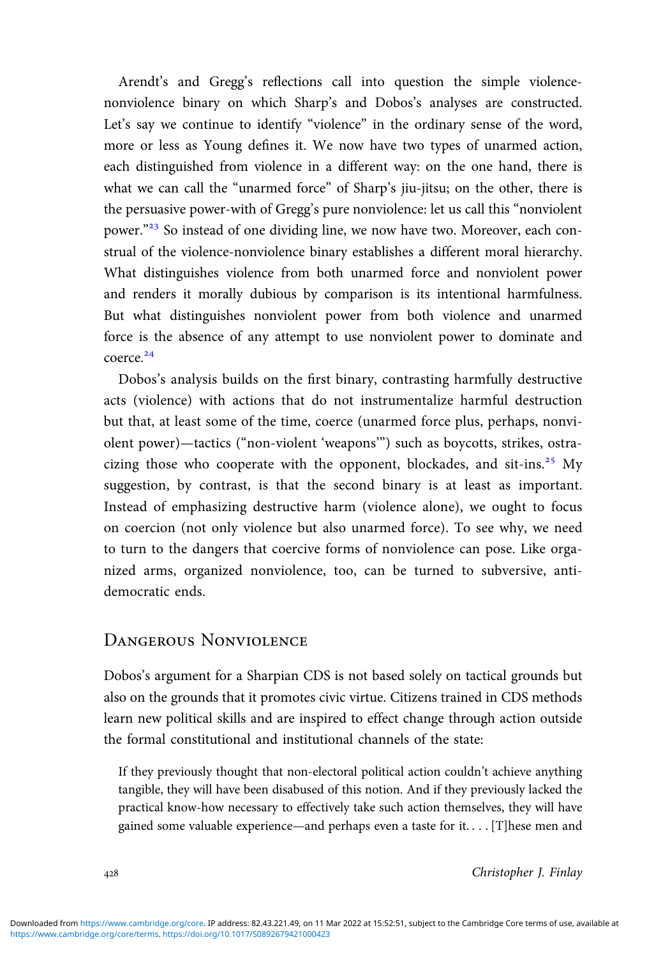Arendt's and Gregg's reflections call into question the simple violencenonviolence binary on which Sharp's and Dobos's analyses are constructed. Let's say we continue to identify "violence" in the ordinary sense of the word, more or less as Young defines it. We now have two types of unarmed action, each distinguished from violence in a different way: on the one hand, there is what we can call the "unarmed force" of Sharp's jiu-jitsu; on the other, there is the persuasive power-with of Gregg's pure nonviolence: let us call this "nonviolent power."<sup>23</sup> So instead of one dividing line, we now have two. Moreover, each construal of the violence-nonviolence binary establishes a different moral hierarchy. What distinguishes violence from both unarmed force and nonviolent power and renders it morally dubious by comparison is its intentional harmfulness. But what distinguishes nonviolent power from both violence and unarmed force is the absence of any attempt to use nonviolent power to dominate and coerce.<sup>24</sup>

Dobos's analysis builds on the first binary, contrasting harmfully destructive acts (violence) with actions that do not instrumentalize harmful destruction but that, at least some of the time, coerce (unarmed force plus, perhaps, nonviolent power)—tactics ("non-violent 'weapons'") such as boycotts, strikes, ostracizing those who cooperate with the opponent, blockades, and sit-ins.<sup>25</sup> My suggestion, by contrast, is that the second binary is at least as important. Instead of emphasizing destructive harm (violence alone), we ought to focus on coercion (not only violence but also unarmed force). To see why, we need to turn to the dangers that coercive forms of nonviolence can pose. Like organized arms, organized nonviolence, too, can be turned to subversive, antidemocratic ends.

## Dangerous Nonviolence

Dobos's argument for a Sharpian CDS is not based solely on tactical grounds but also on the grounds that it promotes civic virtue. Citizens trained in CDS methods learn new political skills and are inspired to effect change through action outside the formal constitutional and institutional channels of the state:

If they previously thought that non-electoral political action couldn't achieve anything tangible, they will have been disabused of this notion. And if they previously lacked the practical know-how necessary to effectively take such action themselves, they will have gained some valuable experience—and perhaps even a taste for it. . . . [T]hese men and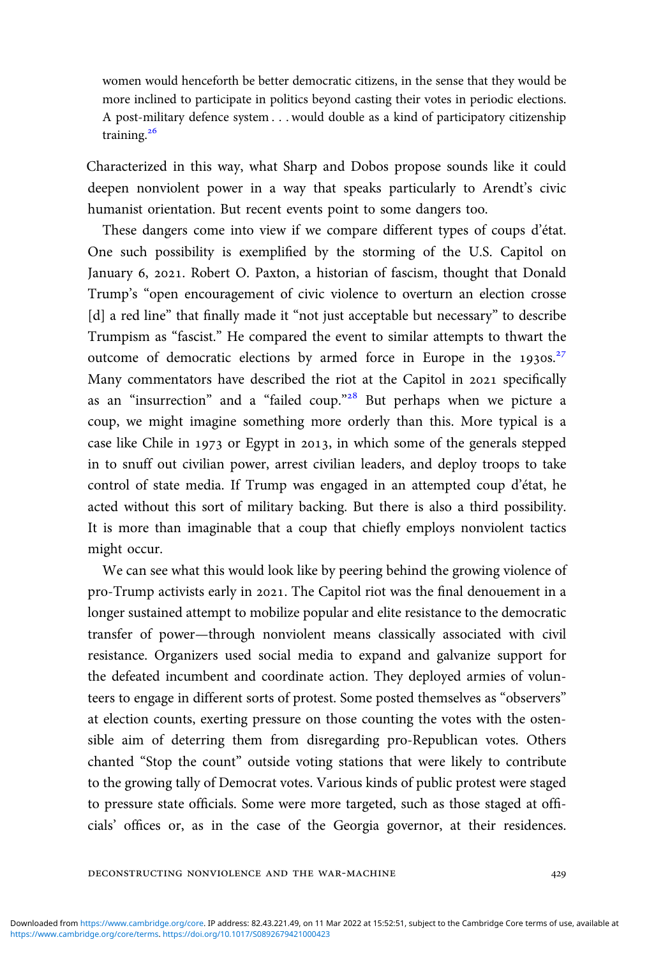women would henceforth be better democratic citizens, in the sense that they would be more inclined to participate in politics beyond casting their votes in periodic elections. A post-military defence system . . . would double as a kind of participatory citizenship training. $26$ 

Characterized in this way, what Sharp and Dobos propose sounds like it could deepen nonviolent power in a way that speaks particularly to Arendt's civic humanist orientation. But recent events point to some dangers too.

These dangers come into view if we compare different types of coups d'état. One such possibility is exemplified by the storming of the U.S. Capitol on January 6, 2021. Robert O. Paxton, a historian of fascism, thought that Donald Trump's "open encouragement of civic violence to overturn an election crosse [d] a red line" that finally made it "not just acceptable but necessary" to describe Trumpism as "fascist." He compared the event to similar attempts to thwart the outcome of democratic elections by armed force in Europe in the  $1930s$ <sup>27</sup> Many commentators have described the riot at the Capitol in 2021 specifically as an "insurrection" and a "failed coup."<sup>28</sup> But perhaps when we picture a coup, we might imagine something more orderly than this. More typical is a case like Chile in  $1973$  or Egypt in 2013, in which some of the generals stepped in to snuff out civilian power, arrest civilian leaders, and deploy troops to take control of state media. If Trump was engaged in an attempted coup d'état, he acted without this sort of military backing. But there is also a third possibility. It is more than imaginable that a coup that chiefly employs nonviolent tactics might occur.

We can see what this would look like by peering behind the growing violence of pro-Trump activists early in 2021. The Capitol riot was the final denouement in a longer sustained attempt to mobilize popular and elite resistance to the democratic transfer of power—through nonviolent means classically associated with civil resistance. Organizers used social media to expand and galvanize support for the defeated incumbent and coordinate action. They deployed armies of volunteers to engage in different sorts of protest. Some posted themselves as "observers" at election counts, exerting pressure on those counting the votes with the ostensible aim of deterring them from disregarding pro-Republican votes. Others chanted "Stop the count" outside voting stations that were likely to contribute to the growing tally of Democrat votes. Various kinds of public protest were staged to pressure state officials. Some were more targeted, such as those staged at officials' offices or, as in the case of the Georgia governor, at their residences.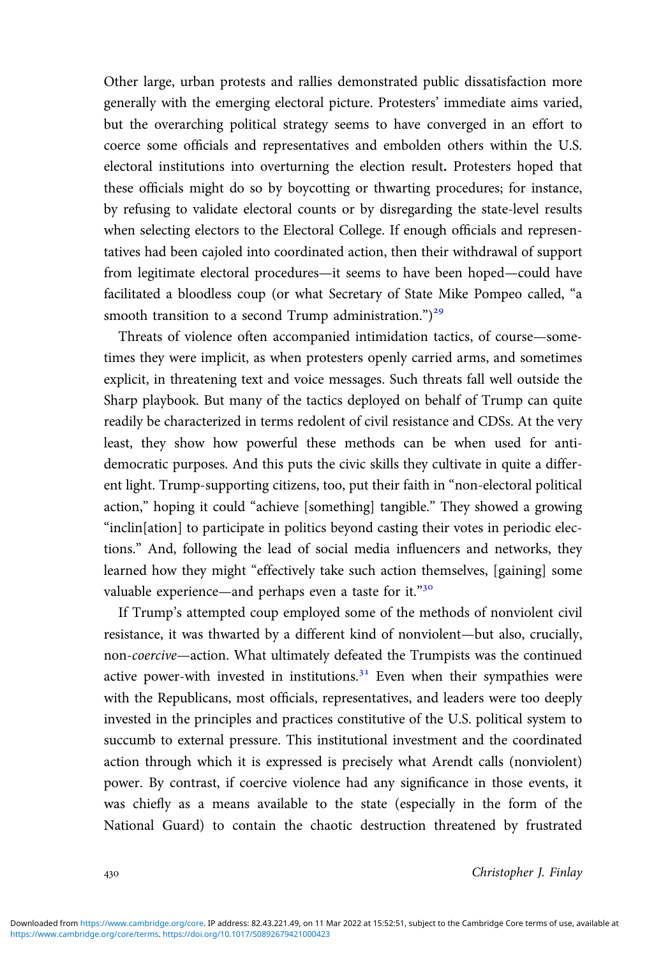Other large, urban protests and rallies demonstrated public dissatisfaction more generally with the emerging electoral picture. Protesters' immediate aims varied, but the overarching political strategy seems to have converged in an effort to coerce some officials and representatives and embolden others within the U.S. electoral institutions into overturning the election result. Protesters hoped that these officials might do so by boycotting or thwarting procedures; for instance, by refusing to validate electoral counts or by disregarding the state-level results when selecting electors to the Electoral College. If enough officials and representatives had been cajoled into coordinated action, then their withdrawal of support from legitimate electoral procedures—it seems to have been hoped—could have facilitated a bloodless coup (or what Secretary of State Mike Pompeo called, "a smooth transition to a second Trump administration.")<sup>29</sup>

Threats of violence often accompanied intimidation tactics, of course—sometimes they were implicit, as when protesters openly carried arms, and sometimes explicit, in threatening text and voice messages. Such threats fall well outside the Sharp playbook. But many of the tactics deployed on behalf of Trump can quite readily be characterized in terms redolent of civil resistance and CDSs. At the very least, they show how powerful these methods can be when used for antidemocratic purposes. And this puts the civic skills they cultivate in quite a different light. Trump-supporting citizens, too, put their faith in "non-electoral political action," hoping it could "achieve [something] tangible." They showed a growing "inclin[ation] to participate in politics beyond casting their votes in periodic elections." And, following the lead of social media influencers and networks, they learned how they might "effectively take such action themselves, [gaining] some valuable experience—and perhaps even a taste for it."<sup>30</sup>

If Trump's attempted coup employed some of the methods of nonviolent civil resistance, it was thwarted by a different kind of nonviolent—but also, crucially, non-coercive—action. What ultimately defeated the Trumpists was the continued active power-with invested in institutions. $3<sup>1</sup>$  Even when their sympathies were with the Republicans, most officials, representatives, and leaders were too deeply invested in the principles and practices constitutive of the U.S. political system to succumb to external pressure. This institutional investment and the coordinated action through which it is expressed is precisely what Arendt calls (nonviolent) power. By contrast, if coercive violence had any significance in those events, it was chiefly as a means available to the state (especially in the form of the National Guard) to contain the chaotic destruction threatened by frustrated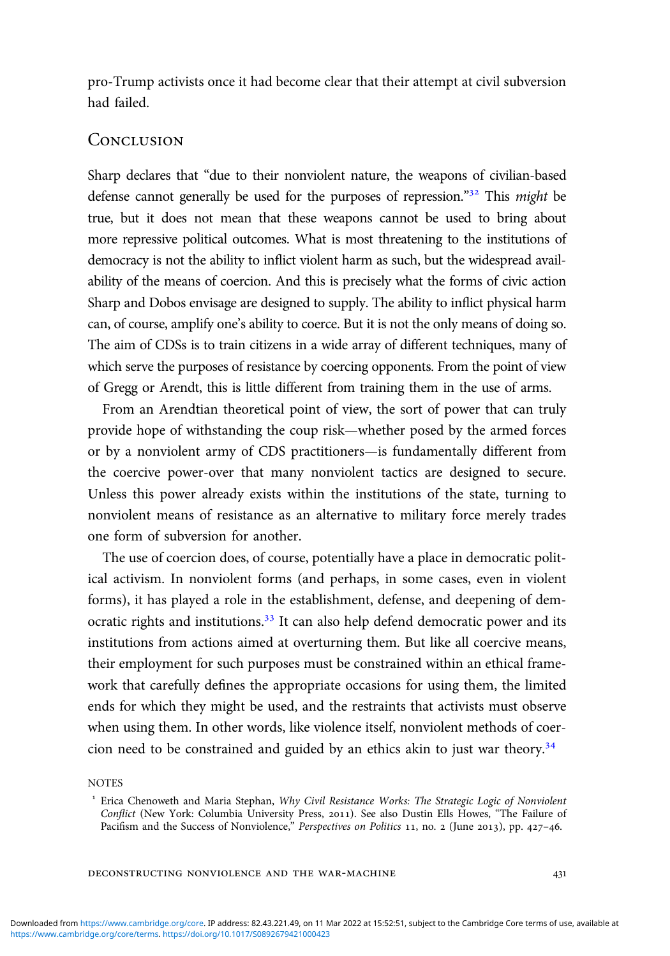pro-Trump activists once it had become clear that their attempt at civil subversion had failed.

## **CONCLUSION**

Sharp declares that "due to their nonviolent nature, the weapons of civilian-based defense cannot generally be used for the purposes of repression."<sup>32</sup> This might be true, but it does not mean that these weapons cannot be used to bring about more repressive political outcomes. What is most threatening to the institutions of democracy is not the ability to inflict violent harm as such, but the widespread availability of the means of coercion. And this is precisely what the forms of civic action Sharp and Dobos envisage are designed to supply. The ability to inflict physical harm can, of course, amplify one's ability to coerce. But it is not the only means of doing so. The aim of CDSs is to train citizens in a wide array of different techniques, many of which serve the purposes of resistance by coercing opponents. From the point of view of Gregg or Arendt, this is little different from training them in the use of arms.

From an Arendtian theoretical point of view, the sort of power that can truly provide hope of withstanding the coup risk—whether posed by the armed forces or by a nonviolent army of CDS practitioners—is fundamentally different from the coercive power-over that many nonviolent tactics are designed to secure. Unless this power already exists within the institutions of the state, turning to nonviolent means of resistance as an alternative to military force merely trades one form of subversion for another.

The use of coercion does, of course, potentially have a place in democratic political activism. In nonviolent forms (and perhaps, in some cases, even in violent forms), it has played a role in the establishment, defense, and deepening of democratic rights and institutions. $33$  It can also help defend democratic power and its institutions from actions aimed at overturning them. But like all coercive means, their employment for such purposes must be constrained within an ethical framework that carefully defines the appropriate occasions for using them, the limited ends for which they might be used, and the restraints that activists must observe when using them. In other words, like violence itself, nonviolent methods of coercion need to be constrained and guided by an ethics akin to just war theory.<sup>34</sup>

#### **NOTES**

<sup>&</sup>lt;sup>1</sup> Erica Chenoweth and Maria Stephan, Why Civil Resistance Works: The Strategic Logic of Nonviolent Conflict (New York: Columbia University Press, 2011). See also Dustin Ells Howes, "The Failure of Pacifism and the Success of Nonviolence," Perspectives on Politics 11, no. 2 (June 2013), pp. 427-46.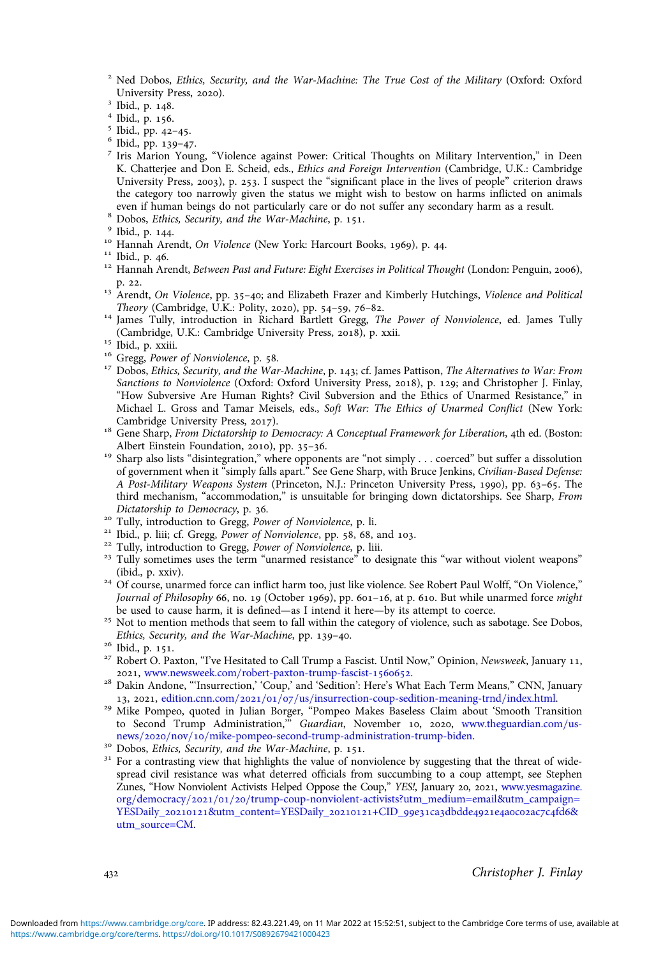<sup>2</sup> Ned Dobos, *Ethics, Security, and the War-Machine: The True Cost of the Military* (Oxford: Oxford University Press, 2020).

- 
- 
- 
- <sup>3</sup> Ibid., p. 148.<br>
<sup>4</sup> Ibid., p. 156.<br>
<sup>5</sup> Ibid., pp. 42-45.<br>
<sup>6</sup> Ibid., pp. 139-47.<br>
<sup>7</sup> Iris Marion Young, "Violence against Power: Critical Thoughts on Military Intervention," in Deen K. Chatterjee and Don E. Scheid, eds., Ethics and Foreign Intervention (Cambridge, U.K.: Cambridge University Press, 2003), p. 253. I suspect the "significant place in the lives of people" criterion draws the category too narrowly given the status we might wish to bestow on harms inflicted on animals even if human beings do not particularly care or do not suffer any secondary harm as a result.<br>
<sup>8</sup> Dobos, *Ethics*, *Security, and the War-Machine*, p. 151.<br>
<sup>9</sup> Ibid., p. 144.<br>
<sup>10</sup> Hannah Arendt, *On Violence* (New York
- 
- 
- 
- 
- 
- p. 22.<br><sup>13</sup> Arendt, *On Violence*, pp. 35–40; and Elizabeth Frazer and Kimberly Hutchings, *Violence and Political Theory* (Cambridge, U.K.: Polity, 2020), pp. 54–59, 76–82.
- <sup>14</sup> James Tully, introduction in Richard Bartlett Gregg, *The Power of Nonviolence*, ed. James Tully (Cambridge, U.K.: Cambridge University Press, 2018), p. xxii.
- 
- 
- <sup>15</sup> Ibid., p. xxiii.<br><sup>16</sup> Gregg, *Power of Nonviolence*, p. 58.<br><sup>17</sup> Dobos, Ethics, Security, and the War-Machine, p. 143; cf. James Pattison, *The Alternatives to War: From* Sanctions to Nonviolence (Oxford: Oxford University Press, 2018), p. 129; and Christopher J. Finlay, "How Subversive Are Human Rights? Civil Subversion and the Ethics of Unarmed Resistance," in Michael L. Gross and Tamar Meisels, eds., Soft War: The Ethics of Unarmed Conflict (New York: Cambridge University Press, 2017).
- <sup>18</sup> Gene Sharp, *From Dictatorship to Democracy: A Conceptual Framework for Liberation*, 4th ed. (Boston: Albert Einstein Foundation, 2010), pp. 35-36.
- <sup>19</sup> Sharp also lists "disintegration," where opponents are "not simply . . . coerced" but suffer a dissolution of government when it "simply falls apart." See Gene Sharp, with Bruce Jenkins, Civilian-Based Defense: A Post-Military Weapons System (Princeton, N.J.: Princeton University Press, 1990), pp. 63-65. The third mechanism, "accommodation," is unsuitable for bringing down dictatorships. See Sharp, From
- 
- 
- 
- Dictatorship to Democracy, p. 36.<br><sup>20</sup> Tully, introduction to Gregg, *Power of Nonviolence*, p. li.<br><sup>21</sup> Ibid., p. liii; cf. Gregg, *Power of Nonviolence*, pp. 58, 68, and 103.<br><sup>22</sup> Tully, introduction to Gregg, *Power of*
- <sup>24</sup> Of course, unarmed force can inflict harm too, just like violence. See Robert Paul Wolff, "On Violence," Journal of Philosophy 66, no. 19 (October 1969), pp. 601-16, at p. 610. But while unarmed force might be used to cause harm, it is defined—as I intend it here—by its attempt to coerce.
- <sup>25</sup> Not to mention methods that seem to fall within the category of violence, such as sabotage. See Dobos,
- 
- Ethics, Security, and the War-Machine, pp. 139–40.<br>
<sup>26</sup> Ibid., p. 151.<br>
<sup>27</sup> Robert O. Paxton, "I've Hesitated to Call Trump a Fascist. Until Now," Opinion, *Newsweek*, January 11,<br>
2021, www.newsweek.com/robert-paxton-t
- <sup>28</sup> Dakin Andone, "'Insurrection,' 'Coup,' and 'Sedition': Here's What Each Term Means," CNN, January<br>13, 2021, edition.cnn.com/2021/01/07/us/insurrection-coup-sedition-meaning-trud/index.html.
- <sup>29</sup> Mike Pompeo, quoted in Julian Borger, "Pompeo Makes Baseless Claim about 'Smooth Transition to Second Trump Administration," Guardian, November 10, 2020, [www.theguardian.com](https://www.theguardian.com/us-news/2020/nov/10/mike-pompeo-second-trump-administration-trump-biden)/us-<br>news/2020/nov/10/mike-pompeo-second-trump-administration-trump-biden.
- 
- <sup>30</sup> Dobos, *Ethics, Security, and the War-Machine*, p. 151.<br><sup>31</sup> For a contrasting view that highlights the value of nonviolence by suggesting that the threat of widespread civil resistance was what deterred officials from succumbing to a coup attempt, see Stephen Zunes, "How Nonviolent Activists Helped Oppose the Coup," YES!, January 20, 2021, [www.yesmagazine.](https://www.yesmagazine.org/democracy/2021/01/20/trump-coup-nonviolent-activists?utm_medium=email&utm_campaign=YESDaily_20210121&utm_content=YESDaily_20210121+CID_99e31ca3dbdde4921e4a0c02ac7c4fd6&utm_source=CM) [org](https://www.yesmagazine.org/democracy/2021/01/20/trump-coup-nonviolent-activists?utm_medium=email&utm_campaign=YESDaily_20210121&utm_content=YESDaily_20210121+CID_99e31ca3dbdde4921e4a0c02ac7c4fd6&utm_source=CM)/[democracy](https://www.yesmagazine.org/democracy/2021/01/20/trump-coup-nonviolent-activists?utm_medium=email&utm_campaign=YESDaily_20210121&utm_content=YESDaily_20210121+CID_99e31ca3dbdde4921e4a0c02ac7c4fd6&utm_source=CM)/2021/01/20/[trump-coup-nonviolent-activists?utm\\_medium=email&utm\\_campaign=](https://www.yesmagazine.org/democracy/2021/01/20/trump-coup-nonviolent-activists?utm_medium=email&utm_campaign=YESDaily_20210121&utm_content=YESDaily_20210121+CID_99e31ca3dbdde4921e4a0c02ac7c4fd6&utm_source=CM) YESDaily\_20210121[&utm\\_content=YESDaily\\_](https://www.yesmagazine.org/democracy/2021/01/20/trump-coup-nonviolent-activists?utm_medium=email&utm_campaign=YESDaily_20210121&utm_content=YESDaily_20210121+CID_99e31ca3dbdde4921e4a0c02ac7c4fd6&utm_source=CM)20210121+CID\_99e31ca3dbdde4921e4a0c02ac7c4fd6& [utm\\_source=CM](https://www.yesmagazine.org/democracy/2021/01/20/trump-coup-nonviolent-activists?utm_medium=email&utm_campaign=YESDaily_20210121&utm_content=YESDaily_20210121+CID_99e31ca3dbdde4921e4a0c02ac7c4fd6&utm_source=CM).